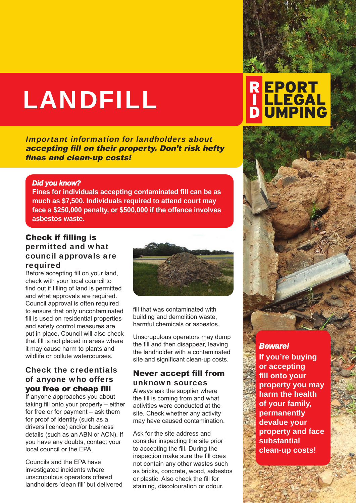# LANDFILL

Important information for landholders about accepting fill on their property. Don't risk hefty fines and clean-up costs!

#### *Did you know?*

**Fines for individuals accepting contaminated fill can be as much as \$7,500. Individuals required to attend court may face a \$250,000 penalty, or \$500,000 if the offence involves asbestos waste.** 

#### Check if filling is permitted and what council approvals are required

Before accepting fill on your land, check with your local council to find out if filling of land is permitted and what approvals are required. Council approval is often required to ensure that only uncontaminated fill is used on residential properties and safety control measures are put in place. Council will also check that fill is not placed in areas where it may cause harm to plants and wildlife or pollute watercourses.

#### Check the credentials of anyone who offers you free or cheap fill

If anyone approaches you about taking fill onto your property – either for free or for payment – ask them for proof of identity (such as a drivers licence) and/or business details (such as an ABN or ACN). If you have any doubts, contact your local council or the EPA.

Councils and the EPA have investigated incidents where unscrupulous operators offered landholders 'clean fill' but delivered



fill that was contaminated with building and demolition waste, harmful chemicals or asbestos.

Unscrupulous operators may dump the fill and then disappear, leaving the landholder with a contaminated site and significant clean-up costs.

#### Never accept fill from unknown sources

Always ask the supplier where the fill is coming from and what activities were conducted at the site. Check whether any activity may have caused contamination.

Ask for the site address and consider inspecting the site prior to accepting the fill. During the inspection make sure the fill does not contain any other wastes such as bricks, concrete, wood, asbestos or plastic. Also check the fill for staining, discolouration or odour.

# **REPORT<br>| LLEGAL<br>D UMPING**



#### *Beware!*

**If you're buying or accepting fill onto your property you may harm the health of your family, permanently devalue your property and face substantial clean-up costs!**